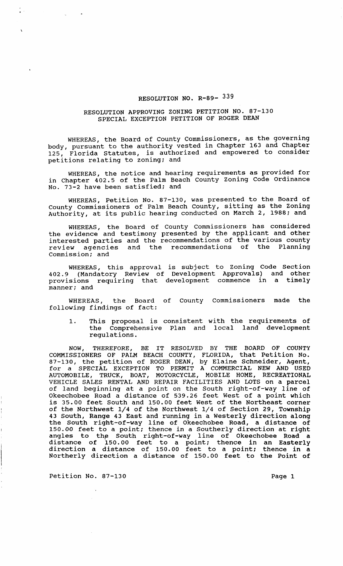## RESOLUTION NO. R-89- 339

## RESOLUTION APPROVING ZONING PETITION NO. 87-130 SPECIAL EXCEPTION PETITION OF ROGER DEAN

WHEREAS, the Board of County Commissioners, as the governing body, pursuant to the authority vested in Chapter 163 and Chapter 125, Florida Statutes, is authorized and empowered to consider petitions relating to zoning; and

WHEREAS, the notice and hearing requirements as provided for in Chapter 402.5 of the Palm Beach County Zoning Code Ordinance No. 73-2 have been satisfied; and

WHEREAS, Petition No. 87-130, was presented to the Board of County Commissioners of Palm Beach County, sitting as the Zoning Authority, at its public hearing conducted on March 2, 1988; and

WHEREAS, the Board of County Commissioners has considered the evidence and testimony presented by the applicant and other interested parties and the recommendations of the various county review agencies and the recommendations of the Planning commission; and

WHEREAS, this approval is subject to Zoning Code Section 402.9 (Mandatory Review of Development Approvals) and other provisions requiring that development commence in a timely manner; and

WHEREAS, the Board of County Commissioners made the following findings of fact:

1. This proposal is consistent with the requirements of the Comprehensive Plan and local land development regulations.

NOW, THEREFORE, BE IT RESOLVED BY THE BOARD OF COUNTY COMMISSIONERS OF PALM BEACH COUNTY, FLORIDA, that Petition No. 87-130, the petition of ROGER DEAN, by Elaine Schneider, Agent, for a SPECIAL EXCEPTION TO PERMIT A COMMERCIAL NEW AND USED AUTOMOBILE, TRUCK, BOAT, MOTORCYCLE, MOBILE HOME, RECREATIONAL VEHICLE SALES RENTAL AND REPAIR FACILITIES AND LOTS on a parcel of land beginning at a point on the South right-of-way line of Okeechobee Road a distance of 539.26 feet West of a point which is 35.00 feet South and 150.00 feet West of the Northeast corner of the Northwest 1/4 of the Northwest 1/4 of section 29, Township 43 South, Range 43 East and running in a Westerly direction along the South right-of-way line of Okeechobee Road, a distance of 150.00 feet to a point; thence in a Southerly direction at right angles to the South right-of-way line of Okeechobee Road a distance of 150.00 feet to a point; thence in an Easterly direction a distance of 150.00 feet to a point; thence in a Northerly direction a distance of 150.00 feet to the Point of

Petition No. 87-130 **Page 1** Page 1

· .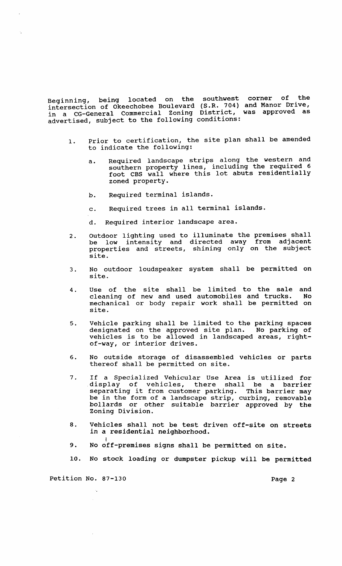Beginning, being located on the southwest corner of the intersection of Okeechobee Boulevard (S.R. 704) and Manor Drive, in a CG-General Commercial Zoning District, was approved as advertised, subject to the following conditions:

- 1. Prior to certification, the site plan shall be amended to indicate the following:
	- a. Required landscape strips along the western and southern property lines, including the required 6 foot CBS wall where this lot abuts residentially zoned property.
	- b. Required terminal islands.
	- c. Required trees in all terminal islands.
	- d. Required interior landscape area.
- 2. Outdoor lighting used to illuminate the premises shall be low intensity and directed away from adjacent properties and streets, shining only on the subject site.
- 3. No outdoor loudspeaker system shall be permitted on site.
- 4. Use of the site shall be limited to the sale and<br>cleaning of new and used automobiles and trucks. No cleaning of new and used automobiles and trucks. mechanical or body repair work shall be permitted on site.
- 5. Vehicle parking shall be limited to the parking spaces<br>designated on the approved site plan. No parking of designated on the approved site plan. vehicles is to be allowed in landscaped areas, rightof-way, or interior drives.
- 6. No outside storage of disassembled vehicles or parts thereof shall be permitted on site.
- 7. If a Specialized Vehicular Use Area is utilized for display of vehicles, there shall be a barrier separating it from customer parking. This barrier may be in the form of a landscape strip, curbing, removable bollards or other suitable barrier approved by the Zoning Division.
- 8. Vehicles shall not be test driven off-site on streets in a residential neighborhood.
- 9. No off-premises signs shall be permitted on site.
- 10. No stock loading or dumpster pickup will be permitted

Petition No. 87-130 Page 2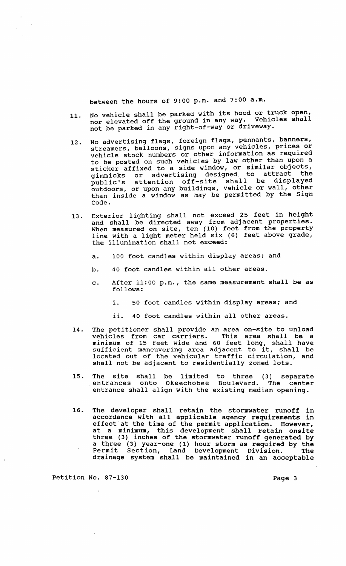between the hours of 9:00 p.m. and 7:00 a.m.

- 11. No vehicle shall be parked with its hood or truck open, nor elevated off the ground in any way. Vehicles shall not be parked in any right-of-way or driveway.
- 12. No advertising flags, foreign flags, pennants, banners, streamers, balloons, signs upon any vehicles, prices or vehicle stock numbers or other information as required to be posted on such vehicles by law other than upon a sticker affixed to a side window, or similar objects, sticket difficulte which is a seriously to attract the public's attention off-site shall be displayed outdoors, or upon any buildings, vehicle or wall, other than inside a window as may be permitted by the Sign Code .
- 13. Exterior lighting shall not exceed 25 feet in height and shall be directed away from adjacent properties. When measured on site, ten (10) feet from the property line with a light meter held six (6) feet above grade, the illumination shall not exceed:
	- a. 100 foot candles within display areas; and
	- b. 40 foot candles within all other areas.
	- c. After 11:00 p.m., the same measurement shall be as follows:
		- i. 50 foot candles within display areas; and
		- ii. 40 foot candles within all other areas.
- 14. The petitioner shall provide an area on-site to unload vehicles from car carriers. This area shall be a minimum of 15 feet wide and 60 feet long, shall have minimum of 15 feet wide and 60 feet long, shall have<br>sufficient maneuvering area adjacent to it, shall be located out of the vehicular traffic circulation, and shall not be adjacent to residentially zoned lots.
- 15. The site shall be limited to three (3) separate entrances onto Okeechobee Boulevard. The center entrances onto Okeechobee Boulevard. The cente entrance shall align with the existing median opening.
- 16. The developer shall retain the stormwater runoff in accordance with all applicable agency requirements in effect at the time of the permit application. However, at a minimum, this development shall retain onsite three (3) inches of the stormwater runoff generated by a three (3) year-one (1) hour storm as required by the Permit Section, Land Development Division. The drainage system shall be maintained in an acceptable

Petition No. 87-130 Page 3

 $\mathcal{L}^{\mathcal{L}}$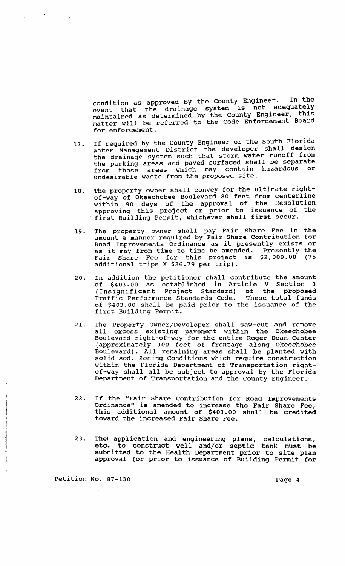condition as approved by the county Engineer. In the event that the drainage system is not adequately event ends are the probability of the County Engineer, this mathed in accormance by the Code Enforcement Board for enforcement.

- 17. If required by the County Engineer or the South Florida It required by end county and developer shall design the drainage system such that storm water runoff from the urainage byboom back bilaw and paved shall be separate from those areas which may contain hazardous or undesirable waste from the proposed site.
- 18. The property owner shall convey for the ultimate rightof-way of Okeechobee Boulevard 80 feet from centerline within 90 days of the approval of the Resolution approving this project or prior to issuance of the first Building Permit, whichever shall first occur.
- 19. The property owner shall pay Fair Share Fee in the amount & manner required by Fair Share contribution for Road Improvements Ordinance as it presently exists or as it may from time to time be amended. Presently the<br>Fair Share Fee for this project is \$2,009.00 (75 Fair Share Fee for this project is  $$2,009.00$ additional trips X \$26.79 per trip).
- 20. In addition the petitioner shall contribute the amount of \$403.00 as established in Article V section 3 (Insignificant Project standard) of the proposed Traffic Performance Standards Code. These total funds of \$403.00 shall be paid prior to the issuance of the first Building Permit.
- 21. The Property Owner/Developer shall saw-cut and remove all excess existing pavement within the Okeechobee Boulevard right-of-way for the entire Roger Dean Center (approximately 300 feet of frontage along Okeechobee Boulevard). All remaining areas shall be planted with solid sod. Zoning Conditions which require construction within the Florida Department of Transportation rightof-way shall all be subject to approval by the Florida Department of Transportation and the County Engineer.
- 22. If the "Fair Share Contribution for Road Improvements Ordinance" is amended to increase the Fair Share Fee, this additional amount of \$403.00 shall be credited toward the increased Fair Share Fee.
- 23. The! application and engineering plans, calculations, etc. to construct well and/or septic tank must be submitted to the Health Department prior to site plan approval (or prior to issuance of Building Permit for

Petition No. 87-130 Page 4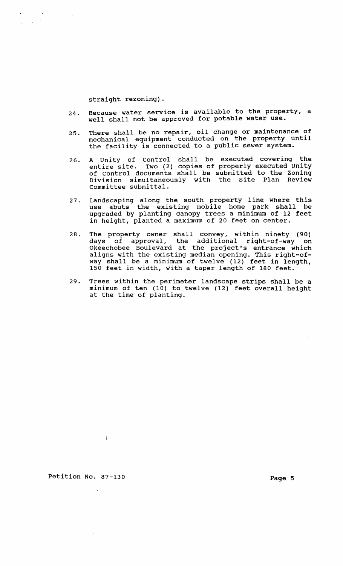straight rezoning).

- 24. Because water service is available to the property, a well shall not be approved for potable water use.
- 25. There shall be no repair, oil change or maintenance of mechanical equipment conducted on the property until the facility is connected to a public sewer system.
- 26. A Unity of Control shall be executed covering the entire site. Two (2) copies of properly executed Unity of control documents shall be submitted to the Zoning Division simultaneously with the site Plan Review Committee submittal.
- 27. Landscaping along the south property line where this use abuts the existing mobile home park shall be upgraded by planting canopy trees a minimum of 12 feet in height, planted a maximum of 20 feet on center.
- 28. The property owner shall convey, within ninety (90) days of approval, the additional right-of-way on days of approvant and dadressman fight of may on aligns with the existing median opening. This right-ofway shall be a minimum of twelve (12) feet in length, 150 feet in width, with a taper length of 180 feet.
- 29. Trees within the perimeter landscape strips shall be a minimum of ten (10) to twelve (12) feet overall height at the time of planting.

Petition No. 87-130 Page 5

 $\overline{1}$